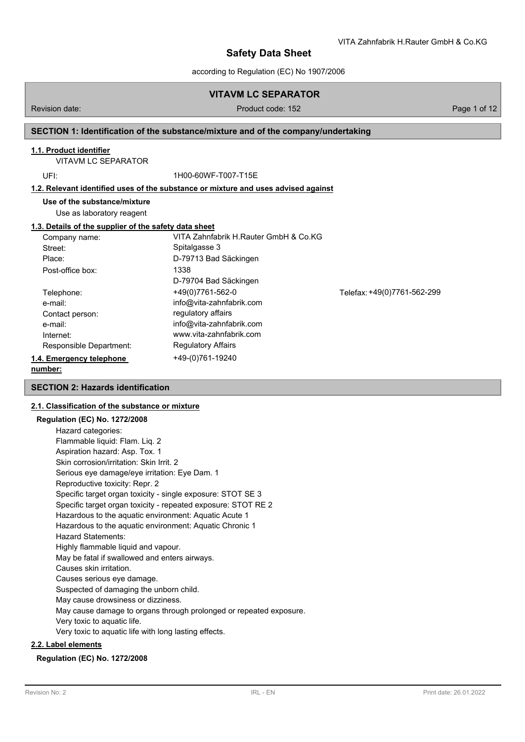# **VITAVM LC SEPARATOR**

### Revision date: Product code: 152 Page 1 of 12

VITA Zahnfabrik H.Rauter GmbH & Co.KG

# **SECTION 1: Identification of the substance/mixture and of the company/undertaking**

# **1.1. Product identifier**

VITAVM LC SEPARATOR

UFI: 1H00-60WF-T007-T15E

# **1.2. Relevant identified uses of the substance or mixture and uses advised against**

**Use of the substance/mixture**

Use as laboratory reagent

## **1.3. Details of the supplier of the safety data sheet**

| Company name:            | VITA Zahnfabrik H.Rauter GmbH & Co.KG |                             |
|--------------------------|---------------------------------------|-----------------------------|
| Street:                  | Spitalgasse 3                         |                             |
| Place:                   | D-79713 Bad Säckingen                 |                             |
| Post-office box:         | 1338                                  |                             |
|                          | D-79704 Bad Säckingen                 |                             |
| Telephone:               | +49(0)7761-562-0                      | Telefax: +49(0)7761-562-299 |
| e-mail:                  | info@vita-zahnfabrik.com              |                             |
| Contact person:          | regulatory affairs                    |                             |
| e-mail:                  | info@vita-zahnfabrik.com              |                             |
| Internet:                | www.vita-zahnfabrik.com               |                             |
| Responsible Department:  | <b>Regulatory Affairs</b>             |                             |
| 1.4. Emergency telephone | +49-(0)761-19240                      |                             |
|                          |                                       |                             |

#### **number:**

# **SECTION 2: Hazards identification**

# **2.1. Classification of the substance or mixture**

| <b>Regulation (EC) No. 1272/2008</b>                               |
|--------------------------------------------------------------------|
| Hazard categories:                                                 |
| Flammable liquid: Flam. Liq. 2                                     |
| Aspiration hazard: Asp. Tox. 1                                     |
| Skin corrosion/irritation: Skin Irrit. 2                           |
| Serious eye damage/eye irritation: Eye Dam. 1                      |
| Reproductive toxicity: Repr. 2                                     |
| Specific target organ toxicity - single exposure: STOT SE 3        |
| Specific target organ toxicity - repeated exposure: STOT RE 2      |
| Hazardous to the aquatic environment: Aquatic Acute 1              |
| Hazardous to the aquatic environment: Aquatic Chronic 1            |
| <b>Hazard Statements:</b>                                          |
| Highly flammable liquid and vapour.                                |
| May be fatal if swallowed and enters airways.                      |
| Causes skin irritation.                                            |
| Causes serious eye damage.                                         |
| Suspected of damaging the unborn child.                            |
| May cause drowsiness or dizziness.                                 |
| May cause damage to organs through prolonged or repeated exposure. |
| Very toxic to aquatic life.                                        |
| Very toxic to aquatic life with long lasting effects.              |
|                                                                    |

# **2.2. Label elements**

### **Regulation (EC) No. 1272/2008**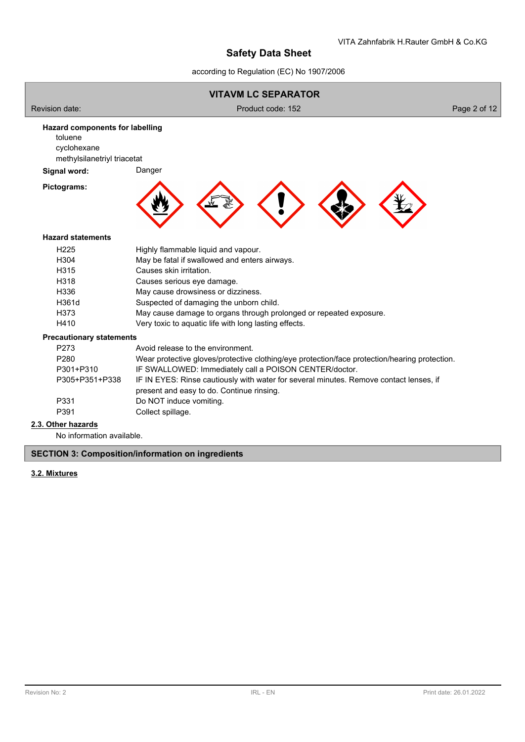according to Regulation (EC) No 1907/2006



# **2.3. Other hazards**

No information available.

## **SECTION 3: Composition/information on ingredients**

# **3.2. Mixtures**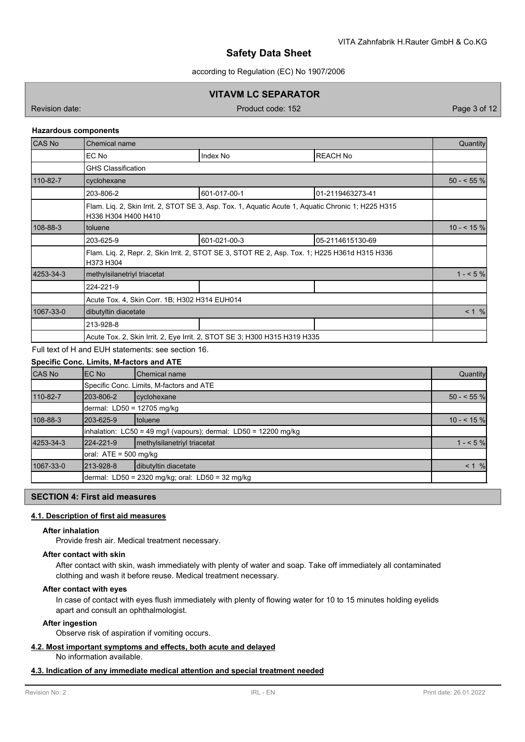according to Regulation (EC) No 1907/2006

# **VITAVM LC SEPARATOR**

Revision date: Product code: 152 Page 3 of 12

### **Hazardous components**

| <b>CAS No</b> | Chemical name                                                                                                             |              |                  |             |  |  |  |
|---------------|---------------------------------------------------------------------------------------------------------------------------|--------------|------------------|-------------|--|--|--|
|               | EC No                                                                                                                     | Index No     | <b>REACH No</b>  |             |  |  |  |
|               | <b>GHS Classification</b>                                                                                                 |              |                  |             |  |  |  |
| 110-82-7      | cyclohexane                                                                                                               |              |                  | $50 - 55\%$ |  |  |  |
|               | 203-806-2                                                                                                                 | 601-017-00-1 | 01-2119463273-41 |             |  |  |  |
|               | Flam. Lig. 2, Skin Irrit. 2, STOT SE 3, Asp. Tox. 1, Aguatic Acute 1, Aguatic Chronic 1; H225 H315<br>H336 H304 H400 H410 |              |                  |             |  |  |  |
| 108-88-3      | toluene                                                                                                                   |              | $10 - 5 \%$      |             |  |  |  |
|               | 203-625-9                                                                                                                 | 601-021-00-3 | 05-2114615130-69 |             |  |  |  |
|               | Flam. Lig. 2, Repr. 2, Skin Irrit. 2, STOT SE 3, STOT RE 2, Asp. Tox. 1; H225 H361d H315 H336<br>H373 H304                |              |                  |             |  |  |  |
| 4253-34-3     | methylsilanetriyl triacetat                                                                                               |              |                  |             |  |  |  |
|               | 224-221-9                                                                                                                 |              |                  |             |  |  |  |
|               | Acute Tox. 4, Skin Corr. 1B; H302 H314 EUH014                                                                             |              |                  |             |  |  |  |
| 1067-33-0     | dibutyltin diacetate                                                                                                      |              | < 1 %            |             |  |  |  |
|               | 213-928-8                                                                                                                 |              |                  |             |  |  |  |
|               | Acute Tox. 2, Skin Irrit. 2, Eye Irrit. 2, STOT SE 3; H300 H315 H319 H335                                                 |              |                  |             |  |  |  |
|               |                                                                                                                           |              |                  |             |  |  |  |

Full text of H and EUH statements: see section 16.

# **Specific Conc. Limits, M-factors and ATE**

| <b>CAS No</b> | <b>IEC No</b>                                                              | <b>Chemical name</b>                     |             |  |  |  |  |  |
|---------------|----------------------------------------------------------------------------|------------------------------------------|-------------|--|--|--|--|--|
|               |                                                                            | Specific Conc. Limits, M-factors and ATE |             |  |  |  |  |  |
| 110-82-7      | cyclohexane                                                                | $50 - 55$ %                              |             |  |  |  |  |  |
|               | dermal: LD50 = 12705 mg/kg                                                 |                                          |             |  |  |  |  |  |
| 108-88-3      | 203-625-9                                                                  | Itoluene                                 | $10 - 55$ % |  |  |  |  |  |
|               | $\lambda$ inhalation: LC50 = 49 mg/l (vapours); dermal: LD50 = 12200 mg/kg |                                          |             |  |  |  |  |  |
| 4253-34-3     | 224-221-9                                                                  | methylsilanetriyl triacetat              |             |  |  |  |  |  |
|               | oral: ATE = 500 mg/kg                                                      |                                          |             |  |  |  |  |  |
| 1067-33-0     | 213-928-8                                                                  | dibutyltin diacetate                     | $< 1 \%$    |  |  |  |  |  |
|               | dermal: LD50 = 2320 mg/kg; oral: LD50 = 32 mg/kg                           |                                          |             |  |  |  |  |  |

# **SECTION 4: First aid measures**

## **4.1. Description of first aid measures**

### **After inhalation**

Provide fresh air. Medical treatment necessary.

#### **After contact with skin**

After contact with skin, wash immediately with plenty of water and soap. Take off immediately all contaminated clothing and wash it before reuse. Medical treatment necessary.

### **After contact with eyes**

In case of contact with eyes flush immediately with plenty of flowing water for 10 to 15 minutes holding eyelids apart and consult an ophthalmologist.

### **After ingestion**

Observe risk of aspiration if vomiting occurs.

#### **4.2. Most important symptoms and effects, both acute and delayed**

No information available.

# **4.3. Indication of any immediate medical attention and special treatment needed**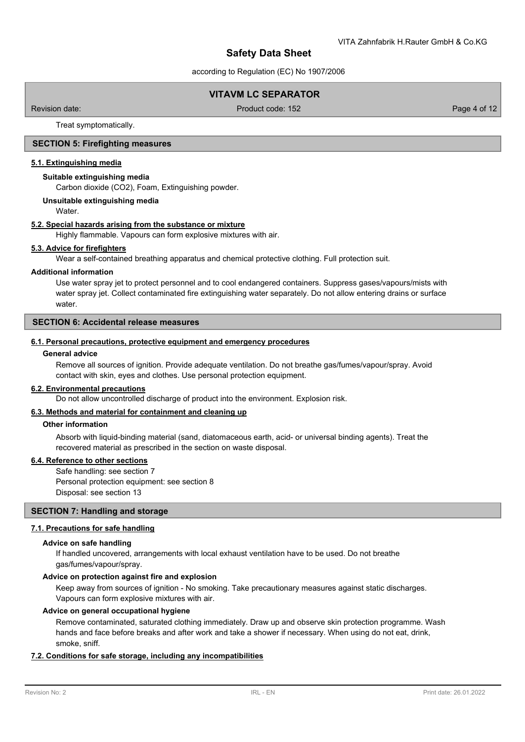according to Regulation (EC) No 1907/2006

# **VITAVM LC SEPARATOR**

Revision date: Product code: 152 Page 4 of 12

Treat symptomatically.

### **SECTION 5: Firefighting measures**

#### **5.1. Extinguishing media**

#### **Suitable extinguishing media**

Carbon dioxide (CO2), Foam, Extinguishing powder.

#### **Unsuitable extinguishing media**

Water.

#### **5.2. Special hazards arising from the substance or mixture**

Highly flammable. Vapours can form explosive mixtures with air.

#### **5.3. Advice for firefighters**

Wear a self-contained breathing apparatus and chemical protective clothing. Full protection suit.

#### **Additional information**

Use water spray jet to protect personnel and to cool endangered containers. Suppress gases/vapours/mists with water spray jet. Collect contaminated fire extinguishing water separately. Do not allow entering drains or surface water.

# **SECTION 6: Accidental release measures**

#### **6.1. Personal precautions, protective equipment and emergency procedures**

#### **General advice**

Remove all sources of ignition. Provide adequate ventilation. Do not breathe gas/fumes/vapour/spray. Avoid contact with skin, eyes and clothes. Use personal protection equipment.

#### **6.2. Environmental precautions**

Do not allow uncontrolled discharge of product into the environment. Explosion risk.

#### **6.3. Methods and material for containment and cleaning up**

#### **Other information**

Absorb with liquid-binding material (sand, diatomaceous earth, acid- or universal binding agents). Treat the recovered material as prescribed in the section on waste disposal.

### **6.4. Reference to other sections**

Safe handling: see section 7 Personal protection equipment: see section 8 Disposal: see section 13

# **SECTION 7: Handling and storage**

# **7.1. Precautions for safe handling**

## **Advice on safe handling**

If handled uncovered, arrangements with local exhaust ventilation have to be used. Do not breathe gas/fumes/vapour/spray.

### **Advice on protection against fire and explosion**

Keep away from sources of ignition - No smoking. Take precautionary measures against static discharges. Vapours can form explosive mixtures with air.

#### **Advice on general occupational hygiene**

Remove contaminated, saturated clothing immediately. Draw up and observe skin protection programme. Wash hands and face before breaks and after work and take a shower if necessary. When using do not eat, drink, smoke, sniff.

## **7.2. Conditions for safe storage, including any incompatibilities**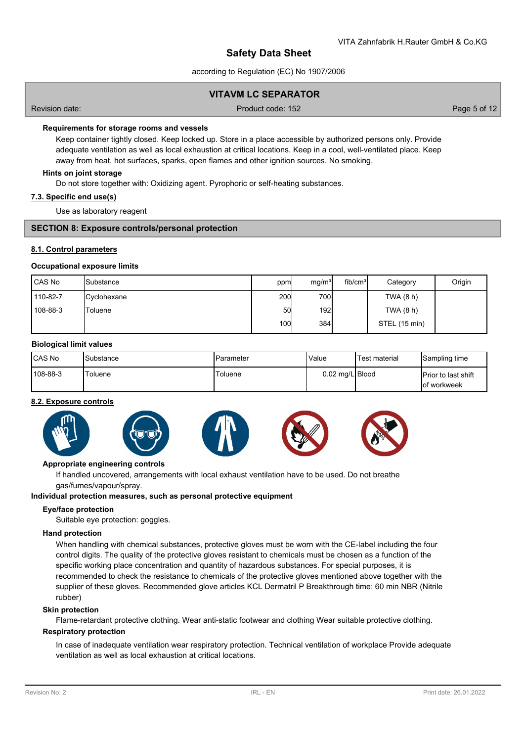according to Regulation (EC) No 1907/2006

# **VITAVM LC SEPARATOR**

Revision date: Product code: 152 Page 5 of 12

### **Requirements for storage rooms and vessels**

Keep container tightly closed. Keep locked up. Store in a place accessible by authorized persons only. Provide adequate ventilation as well as local exhaustion at critical locations. Keep in a cool, well-ventilated place. Keep away from heat, hot surfaces, sparks, open flames and other ignition sources. No smoking.

#### **Hints on joint storage**

Do not store together with: Oxidizing agent. Pyrophoric or self-heating substances.

### **7.3. Specific end use(s)**

Use as laboratory reagent

## **SECTION 8: Exposure controls/personal protection**

### **8.1. Control parameters**

#### **Occupational exposure limits**

| l CAS No | <b>Substance</b>   | ppm  | mg/m <sup>3</sup> | fib/cm <sup>3</sup> | Category      | Origin |
|----------|--------------------|------|-------------------|---------------------|---------------|--------|
| 110-82-7 | <b>Cyclohexane</b> | 200l | 700               |                     | TWA (8 h)     |        |
| 108-88-3 | 'Toluene           | 50   | 192               |                     | TWA (8 h)     |        |
|          |                    | 100I | 384               |                     | STEL (15 min) |        |

#### **Biological limit values**

| <b>ICAS No</b> | Substance      | Parameter | <b>Value</b>    | <sup>I</sup> Test material | Sampling time                               |
|----------------|----------------|-----------|-----------------|----------------------------|---------------------------------------------|
| 108-88-3       | <b>Toluene</b> | Toluene   | 0.02 mg/L Blood |                            | <b>IPrior to last shift</b><br>lof workweek |

#### **8.2. Exposure controls**



## **Appropriate engineering controls**

If handled uncovered, arrangements with local exhaust ventilation have to be used. Do not breathe gas/fumes/vapour/spray.

#### **Individual protection measures, such as personal protective equipment**

#### **Eye/face protection**

Suitable eye protection: goggles.

#### **Hand protection**

When handling with chemical substances, protective gloves must be worn with the CE-label including the four control digits. The quality of the protective gloves resistant to chemicals must be chosen as a function of the specific working place concentration and quantity of hazardous substances. For special purposes, it is recommended to check the resistance to chemicals of the protective gloves mentioned above together with the supplier of these gloves. Recommended glove articles KCL Dermatril P Breakthrough time: 60 min NBR (Nitrile rubber)

#### **Skin protection**

Flame-retardant protective clothing. Wear anti-static footwear and clothing Wear suitable protective clothing.

#### **Respiratory protection**

In case of inadequate ventilation wear respiratory protection. Technical ventilation of workplace Provide adequate ventilation as well as local exhaustion at critical locations.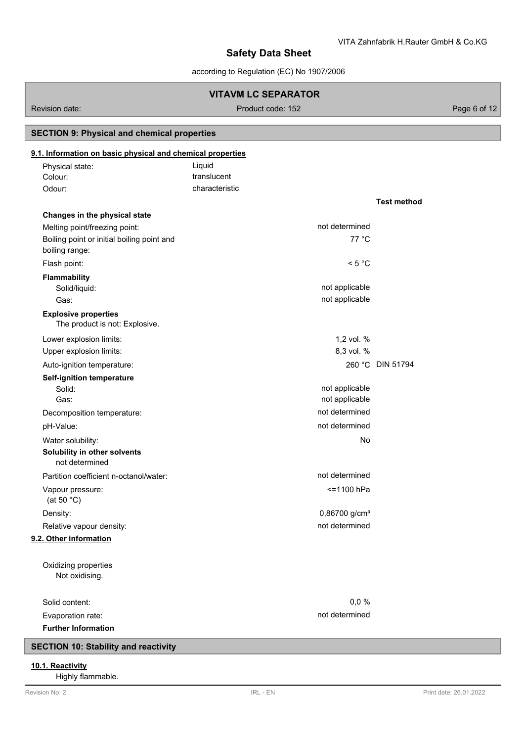**Test method**

# **Safety Data Sheet**

according to Regulation (EC) No 1907/2006

# **VITAVM LC SEPARATOR**

Revision date: Product code: 152 Product code: 152 Page 6 of 12

# **SECTION 9: Physical and chemical properties**

# **9.1. Information on basic physical and chemical properties**

| Physical state: | Liquid         |
|-----------------|----------------|
| Colour:         | translucent    |
| Odour:          | characteristic |
|                 |                |

| Changes in the physical state                                 |                           |                  |
|---------------------------------------------------------------|---------------------------|------------------|
| Melting point/freezing point:                                 | not determined            |                  |
| Boiling point or initial boiling point and                    | 77 °C                     |                  |
| boiling range:                                                |                           |                  |
| Flash point:                                                  | < 5 °C                    |                  |
| <b>Flammability</b>                                           |                           |                  |
| Solid/liquid:                                                 | not applicable            |                  |
| Gas:                                                          | not applicable            |                  |
| <b>Explosive properties</b><br>The product is not: Explosive. |                           |                  |
| Lower explosion limits:                                       | 1,2 vol. %                |                  |
| Upper explosion limits:                                       | 8,3 vol. %                |                  |
| Auto-ignition temperature:                                    |                           | 260 °C DIN 51794 |
| <b>Self-ignition temperature</b>                              |                           |                  |
| Solid:                                                        | not applicable            |                  |
| Gas:                                                          | not applicable            |                  |
| Decomposition temperature:                                    | not determined            |                  |
| pH-Value:                                                     | not determined            |                  |
| Water solubility:                                             | No                        |                  |
| Solubility in other solvents<br>not determined                |                           |                  |
| Partition coefficient n-octanol/water:                        | not determined            |                  |
| Vapour pressure:<br>(at 50 $°C$ )                             | <=1100 hPa                |                  |
| Density:                                                      | 0,86700 g/cm <sup>3</sup> |                  |
| Relative vapour density:                                      | not determined            |                  |
| 9.2. Other information                                        |                           |                  |
|                                                               |                           |                  |
| Oxidizing properties                                          |                           |                  |
| Not oxidising.                                                |                           |                  |
| Solid content:                                                | 0,0%                      |                  |
| Evaporation rate:                                             | not determined            |                  |
| <b>Further Information</b>                                    |                           |                  |

# **SECTION 10: Stability and reactivity**

### **10.1. Reactivity**

Highly flammable.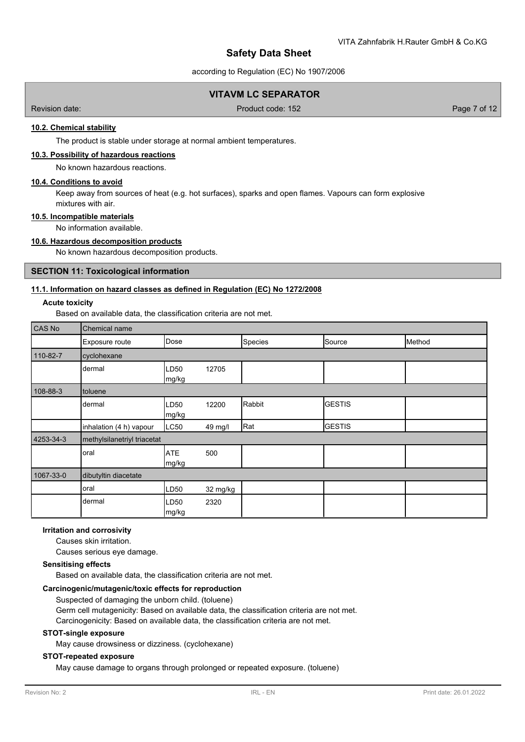according to Regulation (EC) No 1907/2006

# **VITAVM LC SEPARATOR**

Revision date: Product code: 152 Page 7 of 12

# **10.2. Chemical stability**

The product is stable under storage at normal ambient temperatures.

### **10.3. Possibility of hazardous reactions**

No known hazardous reactions.

# **10.4. Conditions to avoid**

Keep away from sources of heat (e.g. hot surfaces), sparks and open flames. Vapours can form explosive mixtures with air.

#### **10.5. Incompatible materials**

## No information available.

### **10.6. Hazardous decomposition products**

No known hazardous decomposition products.

### **SECTION 11: Toxicological information**

## **11.1. Information on hazard classes as defined in Regulation (EC) No 1272/2008**

#### **Acute toxicity**

Based on available data, the classification criteria are not met.

| CAS No    | Chemical name               |                           |          |         |               |        |  |
|-----------|-----------------------------|---------------------------|----------|---------|---------------|--------|--|
|           | Exposure route              | Dose                      |          | Species | Source        | Method |  |
| 110-82-7  | cyclohexane                 |                           |          |         |               |        |  |
|           | dermal                      | LD50<br>mg/kg             | 12705    |         |               |        |  |
| 108-88-3  | toluene                     |                           |          |         |               |        |  |
|           | dermal                      | LD <sub>50</sub><br>mg/kg | 12200    | Rabbit  | <b>GESTIS</b> |        |  |
|           | inhalation (4 h) vapour     | LC50                      | 49 mg/l  | Rat     | <b>GESTIS</b> |        |  |
| 4253-34-3 | methylsilanetriyl triacetat |                           |          |         |               |        |  |
|           | oral                        | <b>ATE</b><br>mg/kg       | 500      |         |               |        |  |
| 1067-33-0 | dibutyltin diacetate        |                           |          |         |               |        |  |
|           | oral                        | LD <sub>50</sub>          | 32 mg/kg |         |               |        |  |
|           | dermal                      | LD50<br>mg/kg             | 2320     |         |               |        |  |

# **Irritation and corrosivity**

Causes skin irritation.

Causes serious eye damage.

### **Sensitising effects**

Based on available data, the classification criteria are not met.

#### **Carcinogenic/mutagenic/toxic effects for reproduction**

Suspected of damaging the unborn child. (toluene)

Germ cell mutagenicity: Based on available data, the classification criteria are not met.

Carcinogenicity: Based on available data, the classification criteria are not met.

# **STOT-single exposure**

May cause drowsiness or dizziness. (cyclohexane)

#### **STOT-repeated exposure**

May cause damage to organs through prolonged or repeated exposure. (toluene)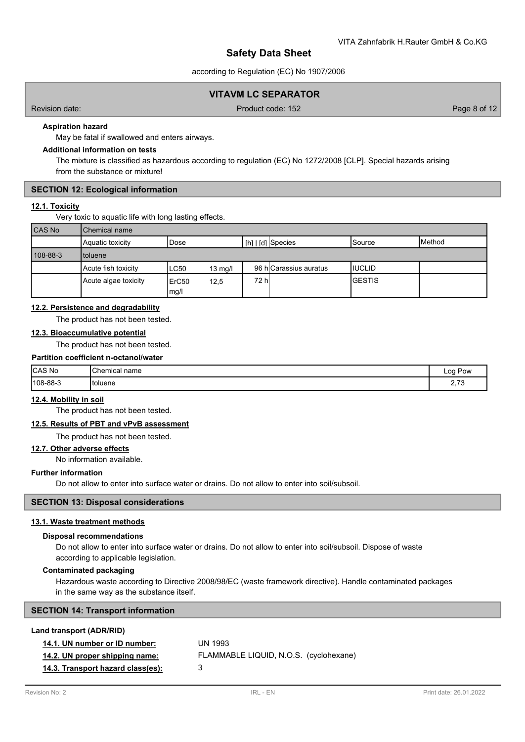according to Regulation (EC) No 1907/2006

# **VITAVM LC SEPARATOR**

Revision date: Product code: 152 Page 8 of 12

### **Aspiration hazard**

May be fatal if swallowed and enters airways.

# **Additional information on tests**

The mixture is classified as hazardous according to regulation (EC) No 1272/2008 [CLP]. Special hazards arising from the substance or mixture!

### **SECTION 12: Ecological information**

# **12.1. Toxicity**

Very toxic to aquatic life with long lasting effects.

| <b>CAS No</b> | Chemical name        |                           |                   |       |                        |                |                 |  |  |  |
|---------------|----------------------|---------------------------|-------------------|-------|------------------------|----------------|-----------------|--|--|--|
|               | Aquatic toxicity     | Dose                      |                   |       | I [h]   [d] Species    | ISource        | <b>I</b> Method |  |  |  |
| 108-88-3      | toluene              |                           |                   |       |                        |                |                 |  |  |  |
|               | Acute fish toxicity  | <b>LC50</b>               | $13 \text{ mg/l}$ |       | 96 hlCarassius auratus | IIUCLID        |                 |  |  |  |
|               | Acute algae toxicity | ErC <sub>50</sub><br>mg/l | 12,5              | 72 hl |                        | <b>IGESTIS</b> |                 |  |  |  |

### **12.2. Persistence and degradability**

The product has not been tested.

#### **12.3. Bioaccumulative potential**

The product has not been tested.

## **Partition coefficient n-octanol/water**

| <b>CAS No</b> | <b>Chemical name</b> | Log Pow<br>. |
|---------------|----------------------|--------------|
| 108-88-3      | Itoluene             | $\sim$ 70    |

# **12.4. Mobility in soil**

The product has not been tested.

# **12.5. Results of PBT and vPvB assessment**

The product has not been tested.

# **12.7. Other adverse effects**

No information available.

## **Further information**

Do not allow to enter into surface water or drains. Do not allow to enter into soil/subsoil.

### **SECTION 13: Disposal considerations**

#### **13.1. Waste treatment methods**

### **Disposal recommendations**

Do not allow to enter into surface water or drains. Do not allow to enter into soil/subsoil. Dispose of waste according to applicable legislation.

#### **Contaminated packaging**

Hazardous waste according to Directive 2008/98/EC (waste framework directive). Handle contaminated packages in the same way as the substance itself.

|  |  |  | <b>SECTION 14: Transport information</b> |
|--|--|--|------------------------------------------|
|--|--|--|------------------------------------------|

#### **Land transport (ADR/RID)**

| 14.1. UN number or ID number:     | UN 1993                                |
|-----------------------------------|----------------------------------------|
| 14.2. UN proper shipping name:    | FLAMMABLE LIQUID, N.O.S. (cyclohexane) |
| 14.3. Transport hazard class(es): | з                                      |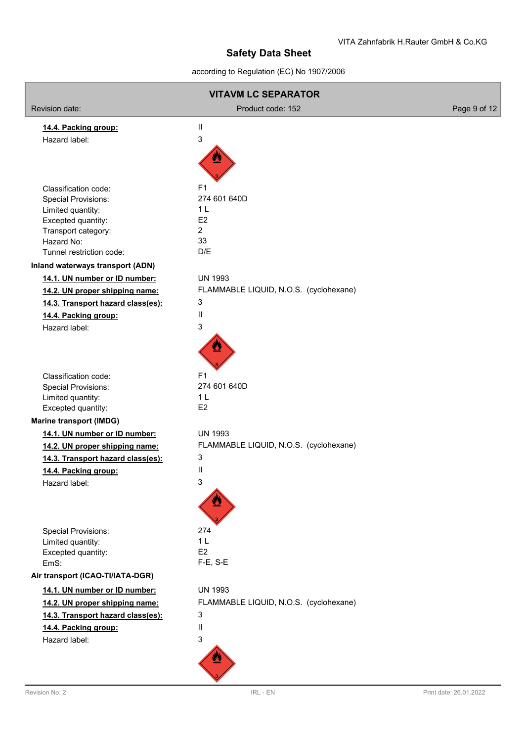according to Regulation (EC) No 1907/2006

| <b>VITAVM LC SEPARATOR</b>              |                                        |              |
|-----------------------------------------|----------------------------------------|--------------|
| Revision date:                          | Product code: 152                      | Page 9 of 12 |
| 14.4. Packing group:                    | $\mathbf{II}$                          |              |
| Hazard label:                           | 3                                      |              |
|                                         |                                        |              |
|                                         |                                        |              |
|                                         |                                        |              |
| Classification code:                    | F <sub>1</sub>                         |              |
| <b>Special Provisions:</b>              | 274 601 640D                           |              |
| Limited quantity:<br>Excepted quantity: | 1 L<br>E <sub>2</sub>                  |              |
| Transport category:                     | $\overline{2}$                         |              |
| Hazard No:                              | 33                                     |              |
| Tunnel restriction code:                | D/E                                    |              |
| Inland waterways transport (ADN)        |                                        |              |
| 14.1. UN number or ID number:           | <b>UN 1993</b>                         |              |
| 14.2. UN proper shipping name:          | FLAMMABLE LIQUID, N.O.S. (cyclohexane) |              |
| 14.3. Transport hazard class(es):       | 3                                      |              |
| 14.4. Packing group:                    | Ш                                      |              |
| Hazard label:                           | 3                                      |              |
|                                         |                                        |              |
|                                         |                                        |              |
| Classification code:                    | F <sub>1</sub>                         |              |
| <b>Special Provisions:</b>              | 274 601 640D                           |              |
| Limited quantity:                       | 1 <sub>L</sub>                         |              |
| Excepted quantity:                      | E2                                     |              |
| <b>Marine transport (IMDG)</b>          |                                        |              |
| 14.1. UN number or ID number:           | <b>UN 1993</b>                         |              |
| 14.2. UN proper shipping name:          | FLAMMABLE LIQUID, N.O.S. (cyclohexane) |              |
| 14.3. Transport hazard class(es):       | 3                                      |              |
| 14.4. Packing group:                    | Ш                                      |              |
| Hazard label:                           | 3                                      |              |
|                                         |                                        |              |
|                                         |                                        |              |
| <b>Special Provisions:</b>              | 274                                    |              |
| Limited quantity:                       | 1 <sub>L</sub>                         |              |
| Excepted quantity:                      | E <sub>2</sub>                         |              |
| EmS:                                    | $F-E$ , S-E                            |              |
| Air transport (ICAO-TI/IATA-DGR)        |                                        |              |
| 14.1. UN number or ID number:           | <b>UN 1993</b>                         |              |
| 14.2. UN proper shipping name:          | FLAMMABLE LIQUID, N.O.S. (cyclohexane) |              |
| 14.3. Transport hazard class(es):       | 3                                      |              |
| 14.4. Packing group:                    | $\mathbf{H}$                           |              |
| Hazard label:                           | 3                                      |              |
|                                         |                                        |              |
|                                         |                                        |              |
|                                         |                                        |              |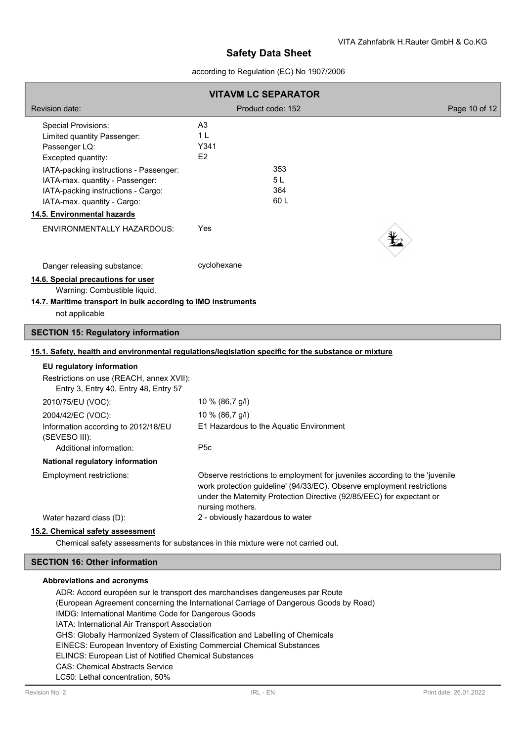## according to Regulation (EC) No 1907/2006

| <b>VITAVM LC SEPARATOR</b>                                                                                                                                                                                                                                                        |                                                                                                                                                                                                                                                    |               |  |  |
|-----------------------------------------------------------------------------------------------------------------------------------------------------------------------------------------------------------------------------------------------------------------------------------|----------------------------------------------------------------------------------------------------------------------------------------------------------------------------------------------------------------------------------------------------|---------------|--|--|
| <b>Revision date:</b>                                                                                                                                                                                                                                                             | Product code: 152                                                                                                                                                                                                                                  | Page 10 of 12 |  |  |
| <b>Special Provisions:</b><br>Limited quantity Passenger:<br>Passenger LQ:<br>Excepted quantity:<br>IATA-packing instructions - Passenger:<br>IATA-max. quantity - Passenger:<br>IATA-packing instructions - Cargo:<br>IATA-max. quantity - Cargo:<br>14.5. Environmental hazards | A3<br>1 <sub>L</sub><br>Y341<br>E2<br>353<br>5L<br>364<br>60 L                                                                                                                                                                                     |               |  |  |
| <b>ENVIRONMENTALLY HAZARDOUS:</b>                                                                                                                                                                                                                                                 | Yes                                                                                                                                                                                                                                                |               |  |  |
| Danger releasing substance:<br>14.6. Special precautions for user<br>Warning: Combustible liquid.<br>14.7. Maritime transport in bulk according to IMO instruments<br>not applicable                                                                                              | cyclohexane                                                                                                                                                                                                                                        |               |  |  |
| <b>SECTION 15: Regulatory information</b>                                                                                                                                                                                                                                         |                                                                                                                                                                                                                                                    |               |  |  |
|                                                                                                                                                                                                                                                                                   | 15.1. Safety, health and environmental regulations/legislation specific for the substance or mixture                                                                                                                                               |               |  |  |
| EU regulatory information<br>Restrictions on use (REACH, annex XVII):<br>Entry 3, Entry 40, Entry 48, Entry 57                                                                                                                                                                    |                                                                                                                                                                                                                                                    |               |  |  |
| 2010/75/EU (VOC):                                                                                                                                                                                                                                                                 | 10 % (86,7 g/l)                                                                                                                                                                                                                                    |               |  |  |
| 2004/42/EC (VOC):<br>Information according to 2012/18/EU<br>(SEVESO III):<br>Additional information:                                                                                                                                                                              | 10 % (86,7 g/l)<br>E1 Hazardous to the Aquatic Environment<br>P <sub>5c</sub>                                                                                                                                                                      |               |  |  |
| <b>National regulatory information</b>                                                                                                                                                                                                                                            |                                                                                                                                                                                                                                                    |               |  |  |
| Employment restrictions:                                                                                                                                                                                                                                                          | Observe restrictions to employment for juveniles according to the 'juvenile<br>work protection guideline' (94/33/EC). Observe employment restrictions<br>under the Maternity Protection Directive (92/85/EEC) for expectant or<br>nursing mothers. |               |  |  |
| Water hazard class (D):<br>15.2. Chemical safety assessment                                                                                                                                                                                                                       | 2 - obviously hazardous to water                                                                                                                                                                                                                   |               |  |  |

Chemical safety assessments for substances in this mixture were not carried out.

## **SECTION 16: Other information**

#### **Abbreviations and acronyms**

ADR: Accord européen sur le transport des marchandises dangereuses par Route (European Agreement concerning the International Carriage of Dangerous Goods by Road) IMDG: International Maritime Code for Dangerous Goods IATA: International Air Transport Association GHS: Globally Harmonized System of Classification and Labelling of Chemicals EINECS: European Inventory of Existing Commercial Chemical Substances ELINCS: European List of Notified Chemical Substances CAS: Chemical Abstracts Service LC50: Lethal concentration, 50%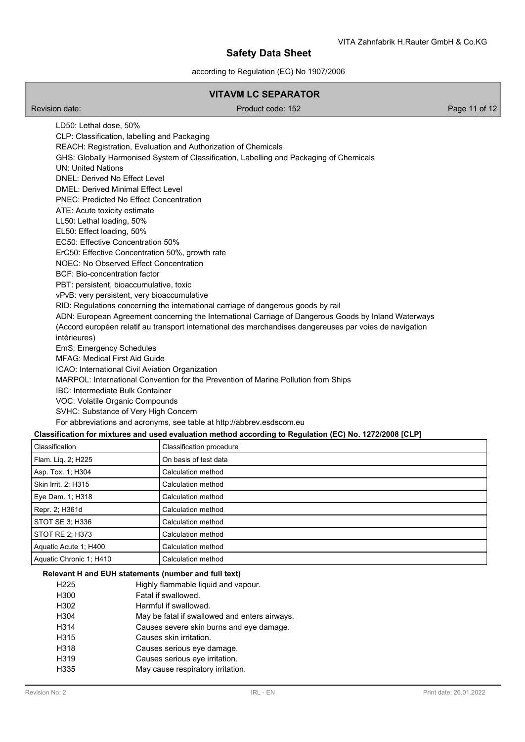according to Regulation (EC) No 1907/2006

# **VITAVM LC SEPARATOR**

Revision date: Product code: 152 Page 11 of 12

LD50: Lethal dose, 50% CLP: Classification, labelling and Packaging REACH: Registration, Evaluation and Authorization of Chemicals GHS: Globally Harmonised System of Classification, Labelling and Packaging of Chemicals UN: United Nations DNEL: Derived No Effect Level DMEL: Derived Minimal Effect Level PNEC: Predicted No Effect Concentration ATE: Acute toxicity estimate LL50: Lethal loading, 50% EL50: Effect loading, 50% EC50: Effective Concentration 50% ErC50: Effective Concentration 50%, growth rate NOEC: No Observed Effect Concentration BCF: Bio-concentration factor PBT: persistent, bioaccumulative, toxic vPvB: very persistent, very bioaccumulative RID: Regulations concerning the international carriage of dangerous goods by rail ADN: European Agreement concerning the International Carriage of Dangerous Goods by Inland Waterways (Accord européen relatif au transport international des marchandises dangereuses par voies de navigation intérieures) EmS: Emergency Schedules MFAG: Medical First Aid Guide ICAO: International Civil Aviation Organization MARPOL: International Convention for the Prevention of Marine Pollution from Ships IBC: Intermediate Bulk Container VOC: Volatile Organic Compounds SVHC: Substance of Very High Concern For abbreviations and acronyms, see table at http://abbrev.esdscom.eu **Classification for mixtures and used evaluation method according to Regulation (EC) No. 1272/2008 [CLP]**

| Classification          | Classification procedure |
|-------------------------|--------------------------|
| Flam. Lig. 2; H225      | On basis of test data    |
| Asp. Tox. 1; H304       | Calculation method       |
| Skin Irrit. 2: H315     | Calculation method       |
| Eye Dam. 1; H318        | Calculation method       |
| Repr. 2; H361d          | Calculation method       |
| STOT SE 3; H336         | Calculation method       |
| STOT RE 2; H373         | Calculation method       |
| Aquatic Acute 1; H400   | Calculation method       |
| Aquatic Chronic 1: H410 | Calculation method       |

#### **Relevant H and EUH statements (number and full text)**

| H <sub>225</sub> | Highly flammable liquid and vapour.           |
|------------------|-----------------------------------------------|
| H300             | Fatal if swallowed.                           |
| H302             | Harmful if swallowed.                         |
| H304             | May be fatal if swallowed and enters airways. |
| H314             | Causes severe skin burns and eye damage.      |
| H315             | Causes skin irritation.                       |
| H318             | Causes serious eye damage.                    |
| H319             | Causes serious eye irritation.                |
| H335             | May cause respiratory irritation.             |